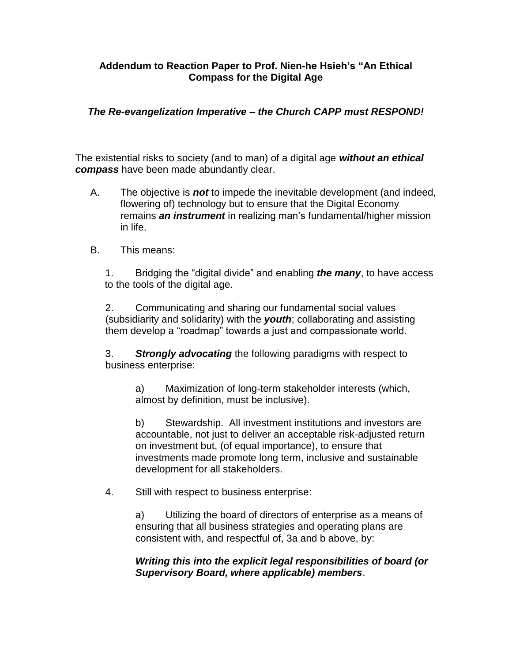## **Addendum to Reaction Paper to Prof. Nien-he Hsieh's "An Ethical Compass for the Digital Age**

## *The Re-evangelization Imperative – the Church CAPP must RESPOND!*

The existential risks to society (and to man) of a digital age *without an ethical compass* have been made abundantly clear.

- A. The objective is *not* to impede the inevitable development (and indeed, flowering of) technology but to ensure that the Digital Economy remains *an instrument* in realizing man's fundamental/higher mission in life.
- B. This means:

1. Bridging the "digital divide" and enabling *the many*, to have access to the tools of the digital age.

2. Communicating and sharing our fundamental social values (subsidiarity and solidarity) with the *youth*; collaborating and assisting them develop a "roadmap" towards a just and compassionate world.

3. *Strongly advocating* the following paradigms with respect to business enterprise:

a) Maximization of long-term stakeholder interests (which, almost by definition, must be inclusive).

b) Stewardship. All investment institutions and investors are accountable, not just to deliver an acceptable risk-adjusted return on investment but, (of equal importance), to ensure that investments made promote long term, inclusive and sustainable development for all stakeholders.

4. Still with respect to business enterprise:

a) Utilizing the board of directors of enterprise as a means of ensuring that all business strategies and operating plans are consistent with, and respectful of, 3a and b above, by:

*Writing this into the explicit legal responsibilities of board (or Supervisory Board, where applicable) members*.